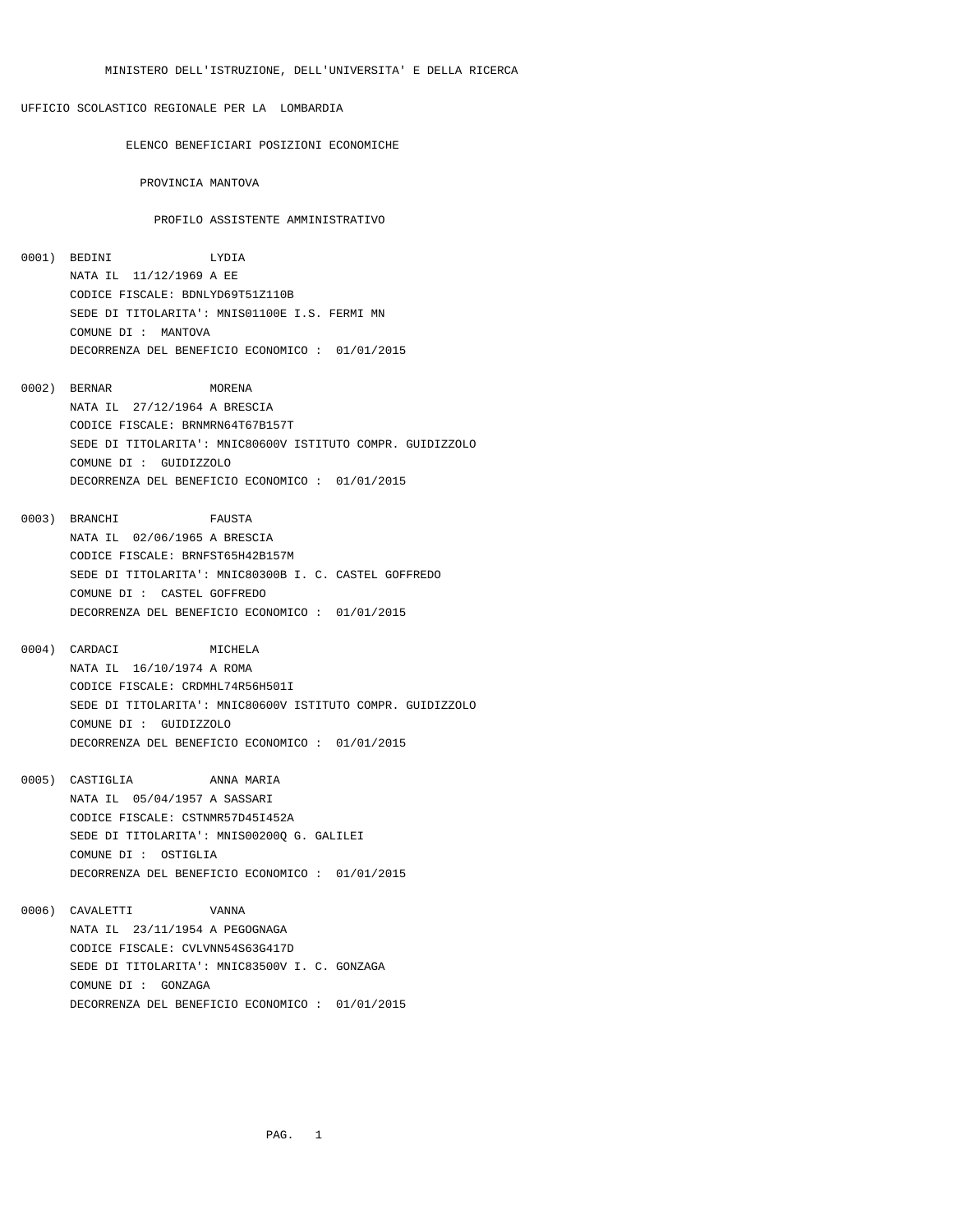ELENCO BENEFICIARI POSIZIONI ECONOMICHE

PROVINCIA MANTOVA

## PROFILO ASSISTENTE AMMINISTRATIVO

- 0001) BEDINI LYDIA NATA IL 11/12/1969 A EE CODICE FISCALE: BDNLYD69T51Z110B SEDE DI TITOLARITA': MNIS01100E I.S. FERMI MN COMUNE DI : MANTOVA DECORRENZA DEL BENEFICIO ECONOMICO : 01/01/2015
- 0002) BERNAR MORENA NATA IL 27/12/1964 A BRESCIA CODICE FISCALE: BRNMRN64T67B157T SEDE DI TITOLARITA': MNIC80600V ISTITUTO COMPR. GUIDIZZOLO COMUNE DI : GUIDIZZOLO DECORRENZA DEL BENEFICIO ECONOMICO : 01/01/2015
- 0003) BRANCHI FAUSTA NATA IL 02/06/1965 A BRESCIA CODICE FISCALE: BRNFST65H42B157M SEDE DI TITOLARITA': MNIC80300B I. C. CASTEL GOFFREDO COMUNE DI : CASTEL GOFFREDO DECORRENZA DEL BENEFICIO ECONOMICO : 01/01/2015
- 0004) CARDACI MICHELA NATA IL 16/10/1974 A ROMA CODICE FISCALE: CRDMHL74R56H501I SEDE DI TITOLARITA': MNIC80600V ISTITUTO COMPR. GUIDIZZOLO COMUNE DI : GUIDIZZOLO DECORRENZA DEL BENEFICIO ECONOMICO : 01/01/2015
- 0005) CASTIGLIA ANNA MARIA NATA IL 05/04/1957 A SASSARI CODICE FISCALE: CSTNMR57D45I452A SEDE DI TITOLARITA': MNIS00200Q G. GALILEI COMUNE DI : OSTIGLIA DECORRENZA DEL BENEFICIO ECONOMICO : 01/01/2015
- 0006) CAVALETTI VANNA NATA IL 23/11/1954 A PEGOGNAGA CODICE FISCALE: CVLVNN54S63G417D SEDE DI TITOLARITA': MNIC83500V I. C. GONZAGA COMUNE DI : GONZAGA DECORRENZA DEL BENEFICIO ECONOMICO : 01/01/2015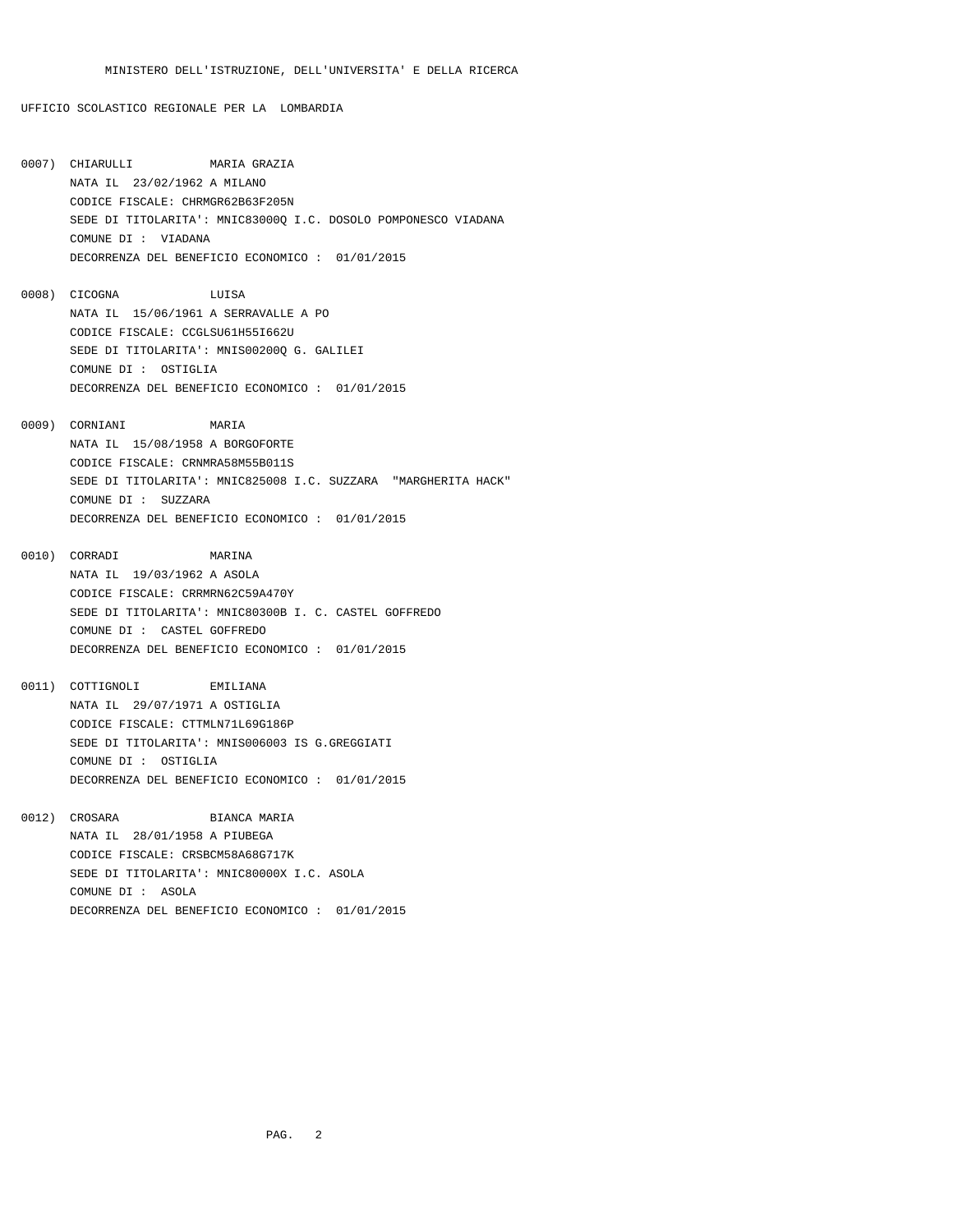- 0007) CHIARULLI MARIA GRAZIA NATA IL 23/02/1962 A MILANO CODICE FISCALE: CHRMGR62B63F205N SEDE DI TITOLARITA': MNIC83000Q I.C. DOSOLO POMPONESCO VIADANA COMUNE DI : VIADANA DECORRENZA DEL BENEFICIO ECONOMICO : 01/01/2015
- 0008) CICOGNA LUISA NATA IL 15/06/1961 A SERRAVALLE A PO CODICE FISCALE: CCGLSU61H55I662U SEDE DI TITOLARITA': MNIS00200Q G. GALILEI COMUNE DI : OSTIGLIA DECORRENZA DEL BENEFICIO ECONOMICO : 01/01/2015
- 0009) CORNIANI MARIA NATA IL 15/08/1958 A BORGOFORTE CODICE FISCALE: CRNMRA58M55B011S SEDE DI TITOLARITA': MNIC825008 I.C. SUZZARA "MARGHERITA HACK" COMUNE DI : SUZZARA DECORRENZA DEL BENEFICIO ECONOMICO : 01/01/2015
- 0010) CORRADI MARINA NATA IL 19/03/1962 A ASOLA CODICE FISCALE: CRRMRN62C59A470Y SEDE DI TITOLARITA': MNIC80300B I. C. CASTEL GOFFREDO COMUNE DI : CASTEL GOFFREDO DECORRENZA DEL BENEFICIO ECONOMICO : 01/01/2015
- 0011) COTTIGNOLI EMILIANA NATA IL 29/07/1971 A OSTIGLIA CODICE FISCALE: CTTMLN71L69G186P SEDE DI TITOLARITA': MNIS006003 IS G.GREGGIATI COMUNE DI : OSTIGLIA DECORRENZA DEL BENEFICIO ECONOMICO : 01/01/2015
- 0012) CROSARA BIANCA MARIA NATA IL 28/01/1958 A PIUBEGA CODICE FISCALE: CRSBCM58A68G717K SEDE DI TITOLARITA': MNIC80000X I.C. ASOLA COMUNE DI : ASOLA DECORRENZA DEL BENEFICIO ECONOMICO : 01/01/2015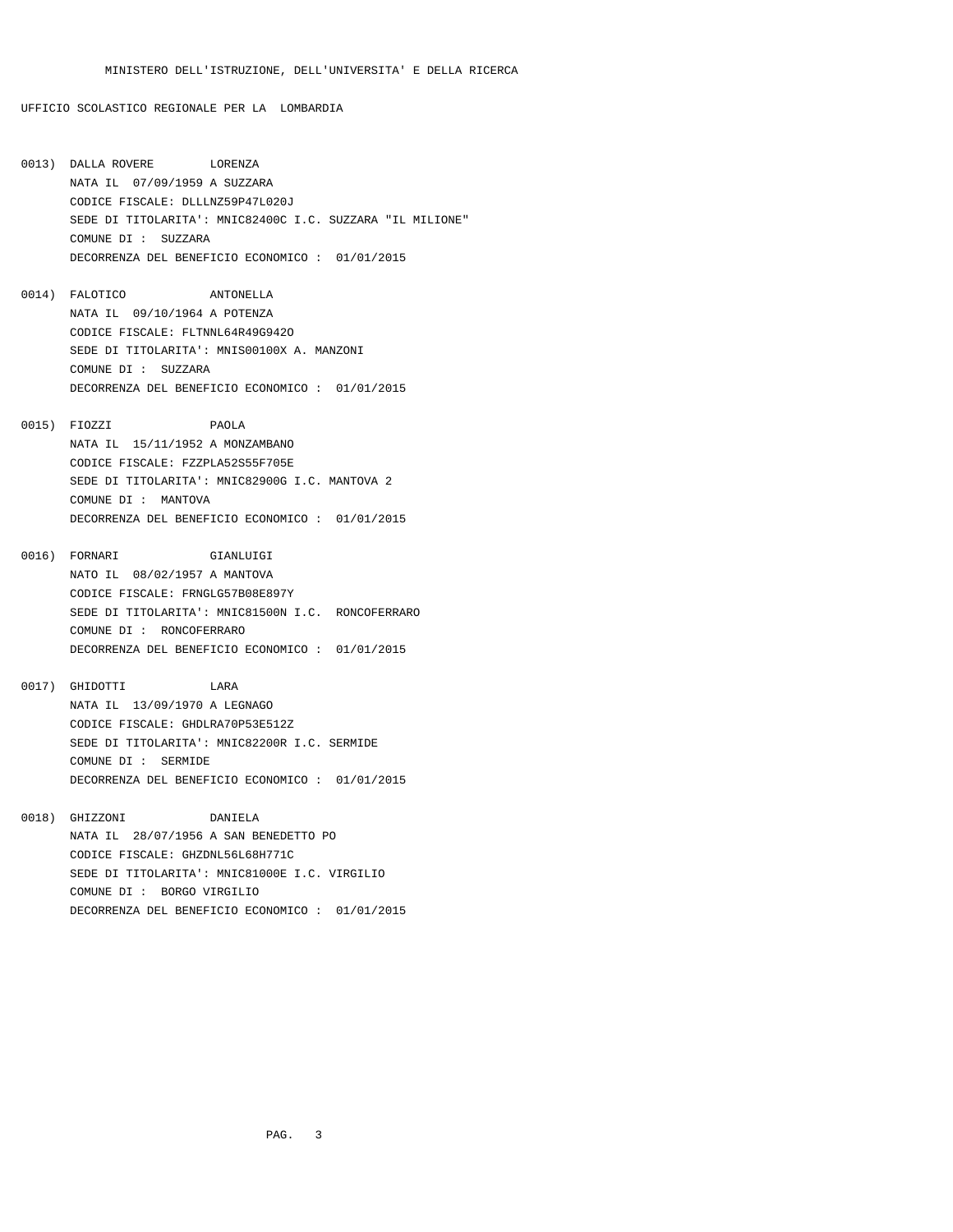- 0013) DALLA ROVERE LORENZA NATA IL 07/09/1959 A SUZZARA CODICE FISCALE: DLLLNZ59P47L020J SEDE DI TITOLARITA': MNIC82400C I.C. SUZZARA "IL MILIONE" COMUNE DI : SUZZARA DECORRENZA DEL BENEFICIO ECONOMICO : 01/01/2015
- 0014) FALOTICO ANTONELLA NATA IL 09/10/1964 A POTENZA CODICE FISCALE: FLTNNL64R49G942O SEDE DI TITOLARITA': MNIS00100X A. MANZONI COMUNE DI : SUZZARA DECORRENZA DEL BENEFICIO ECONOMICO : 01/01/2015
- 0015) FIOZZI PAOLA NATA IL 15/11/1952 A MONZAMBANO CODICE FISCALE: FZZPLA52S55F705E SEDE DI TITOLARITA': MNIC82900G I.C. MANTOVA 2 COMUNE DI : MANTOVA DECORRENZA DEL BENEFICIO ECONOMICO : 01/01/2015
- 0016) FORNARI GIANLUIGI NATO IL 08/02/1957 A MANTOVA CODICE FISCALE: FRNGLG57B08E897Y SEDE DI TITOLARITA': MNIC81500N I.C. RONCOFERRARO COMUNE DI : RONCOFERRARO DECORRENZA DEL BENEFICIO ECONOMICO : 01/01/2015
- 0017) GHIDOTTI LARA NATA IL 13/09/1970 A LEGNAGO CODICE FISCALE: GHDLRA70P53E512Z SEDE DI TITOLARITA': MNIC82200R I.C. SERMIDE COMUNE DI : SERMIDE DECORRENZA DEL BENEFICIO ECONOMICO : 01/01/2015
- 0018) GHIZZONI DANIELA NATA IL 28/07/1956 A SAN BENEDETTO PO CODICE FISCALE: GHZDNL56L68H771C SEDE DI TITOLARITA': MNIC81000E I.C. VIRGILIO COMUNE DI : BORGO VIRGILIO DECORRENZA DEL BENEFICIO ECONOMICO : 01/01/2015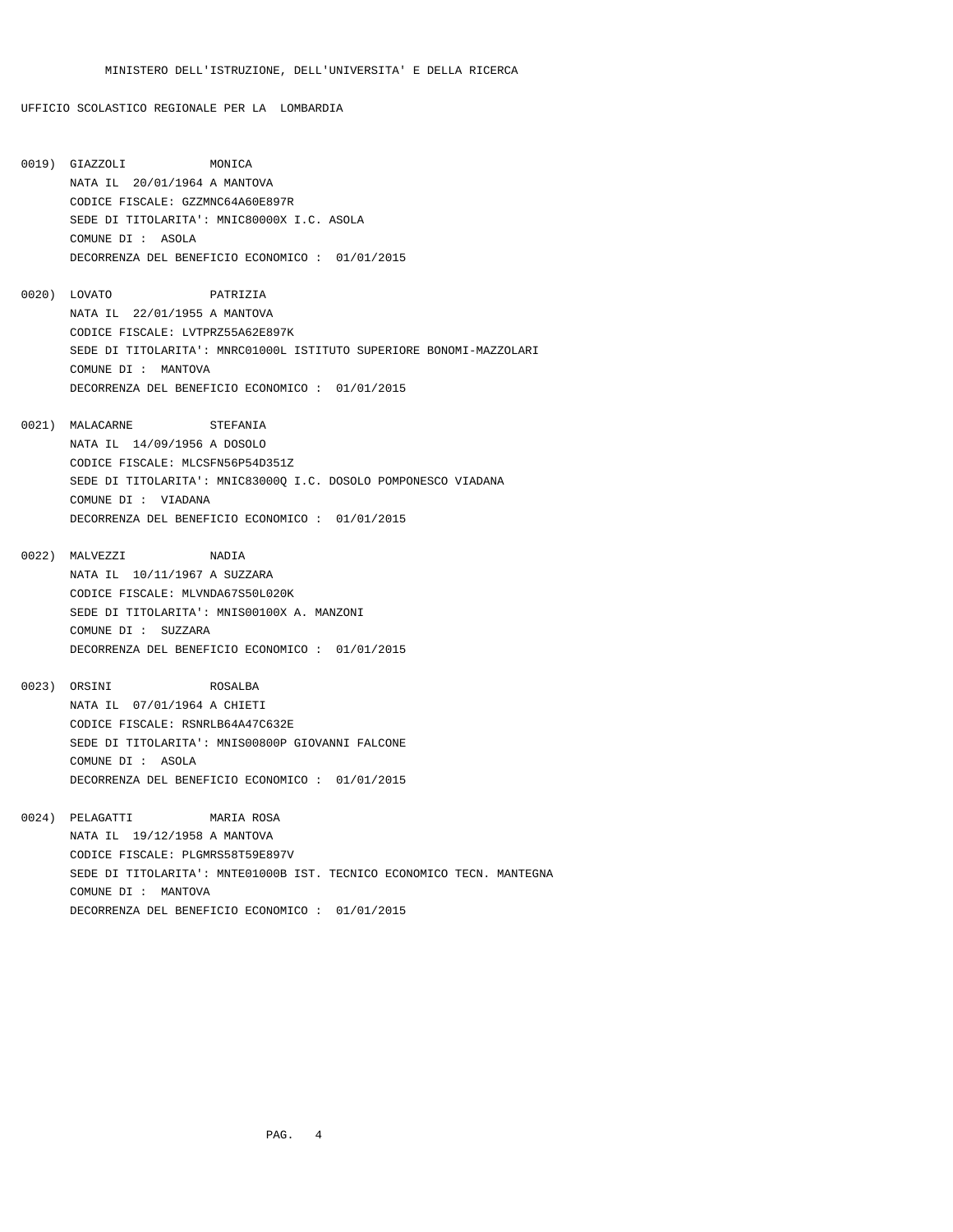- 0019) GIAZZOLI MONICA NATA IL 20/01/1964 A MANTOVA CODICE FISCALE: GZZMNC64A60E897R SEDE DI TITOLARITA': MNIC80000X I.C. ASOLA COMUNE DI : ASOLA DECORRENZA DEL BENEFICIO ECONOMICO : 01/01/2015
- 0020) LOVATO PATRIZIA NATA IL 22/01/1955 A MANTOVA CODICE FISCALE: LVTPRZ55A62E897K SEDE DI TITOLARITA': MNRC01000L ISTITUTO SUPERIORE BONOMI-MAZZOLARI COMUNE DI : MANTOVA DECORRENZA DEL BENEFICIO ECONOMICO : 01/01/2015
- 0021) MALACARNE STEFANIA NATA IL 14/09/1956 A DOSOLO CODICE FISCALE: MLCSFN56P54D351Z SEDE DI TITOLARITA': MNIC83000Q I.C. DOSOLO POMPONESCO VIADANA COMUNE DI : VIADANA DECORRENZA DEL BENEFICIO ECONOMICO : 01/01/2015
- 0022) MALVEZZI NADIA NATA IL 10/11/1967 A SUZZARA CODICE FISCALE: MLVNDA67S50L020K SEDE DI TITOLARITA': MNIS00100X A. MANZONI COMUNE DI : SUZZARA DECORRENZA DEL BENEFICIO ECONOMICO : 01/01/2015
- 0023) ORSINI ROSALBA NATA IL 07/01/1964 A CHIETI CODICE FISCALE: RSNRLB64A47C632E SEDE DI TITOLARITA': MNIS00800P GIOVANNI FALCONE COMUNE DI : ASOLA DECORRENZA DEL BENEFICIO ECONOMICO : 01/01/2015
- 0024) PELAGATTI MARIA ROSA NATA IL 19/12/1958 A MANTOVA CODICE FISCALE: PLGMRS58T59E897V SEDE DI TITOLARITA': MNTE01000B IST. TECNICO ECONOMICO TECN. MANTEGNA COMUNE DI : MANTOVA DECORRENZA DEL BENEFICIO ECONOMICO : 01/01/2015